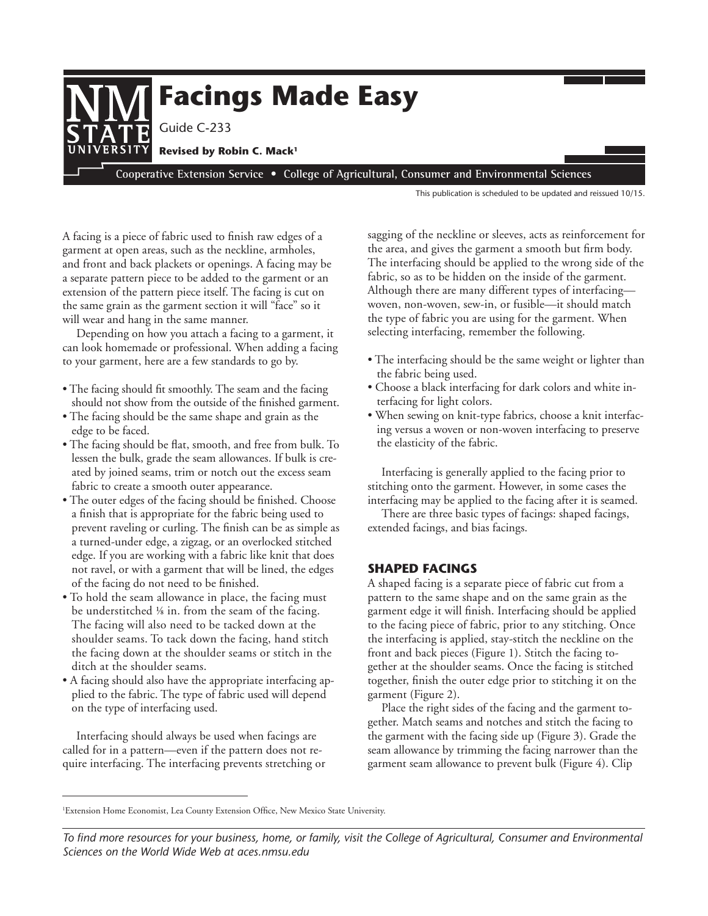

This publication is scheduled to be updated and reissued 10/15.

A facing is a piece of fabric used to finish raw edges of a garment at open areas, such as the neckline, armholes, and front and back plackets or openings. A facing may be a separate pattern piece to be added to the garment or an extension of the pattern piece itself. The facing is cut on the same grain as the garment section it will "face" so it will wear and hang in the same manner.

Depending on how you attach a facing to a garment, it can look homemade or professional. When adding a facing to your garment, here are a few standards to go by.

- The facing should fit smoothly. The seam and the facing should not show from the outside of the finished garment.
- The facing should be the same shape and grain as the edge to be faced.
- The facing should be flat, smooth, and free from bulk. To lessen the bulk, grade the seam allowances. If bulk is created by joined seams, trim or notch out the excess seam fabric to create a smooth outer appearance.
- The outer edges of the facing should be finished. Choose a finish that is appropriate for the fabric being used to prevent raveling or curling. The finish can be as simple as a turned-under edge, a zigzag, or an overlocked stitched edge. If you are working with a fabric like knit that does not ravel, or with a garment that will be lined, the edges of the facing do not need to be finished.
- To hold the seam allowance in place, the facing must be understitched ⅛ in. from the seam of the facing. The facing will also need to be tacked down at the shoulder seams. To tack down the facing, hand stitch the facing down at the shoulder seams or stitch in the ditch at the shoulder seams.
- A facing should also have the appropriate interfacing applied to the fabric. The type of fabric used will depend on the type of interfacing used.

Interfacing should always be used when facings are called for in a pattern—even if the pattern does not require interfacing. The interfacing prevents stretching or sagging of the neckline or sleeves, acts as reinforcement for the area, and gives the garment a smooth but firm body. The interfacing should be applied to the wrong side of the fabric, so as to be hidden on the inside of the garment. Although there are many different types of interfacing woven, non-woven, sew-in, or fusible—it should match the type of fabric you are using for the garment. When selecting interfacing, remember the following.

- The interfacing should be the same weight or lighter than the fabric being used.
- Choose a black interfacing for dark colors and white interfacing for light colors.
- When sewing on knit-type fabrics, choose a knit interfacing versus a woven or non-woven interfacing to preserve the elasticity of the fabric.

Interfacing is generally applied to the facing prior to stitching onto the garment. However, in some cases the interfacing may be applied to the facing after it is seamed.

There are three basic types of facings: shaped facings, extended facings, and bias facings.

### **SHAPED FACINGS**

A shaped facing is a separate piece of fabric cut from a pattern to the same shape and on the same grain as the garment edge it will finish. Interfacing should be applied to the facing piece of fabric, prior to any stitching. Once the interfacing is applied, stay-stitch the neckline on the front and back pieces (Figure 1). Stitch the facing together at the shoulder seams. Once the facing is stitched together, finish the outer edge prior to stitching it on the garment (Figure 2).

Place the right sides of the facing and the garment together. Match seams and notches and stitch the facing to the garment with the facing side up (Figure 3). Grade the seam allowance by trimming the facing narrower than the garment seam allowance to prevent bulk (Figure 4). Clip

<sup>1</sup> Extension Home Economist, Lea County Extension Office, New Mexico State University.

*To find more resources for your business, home, or family, visit the College of Agricultural, Consumer and Environmental Sciences on the World Wide Web at aces.nmsu.edu*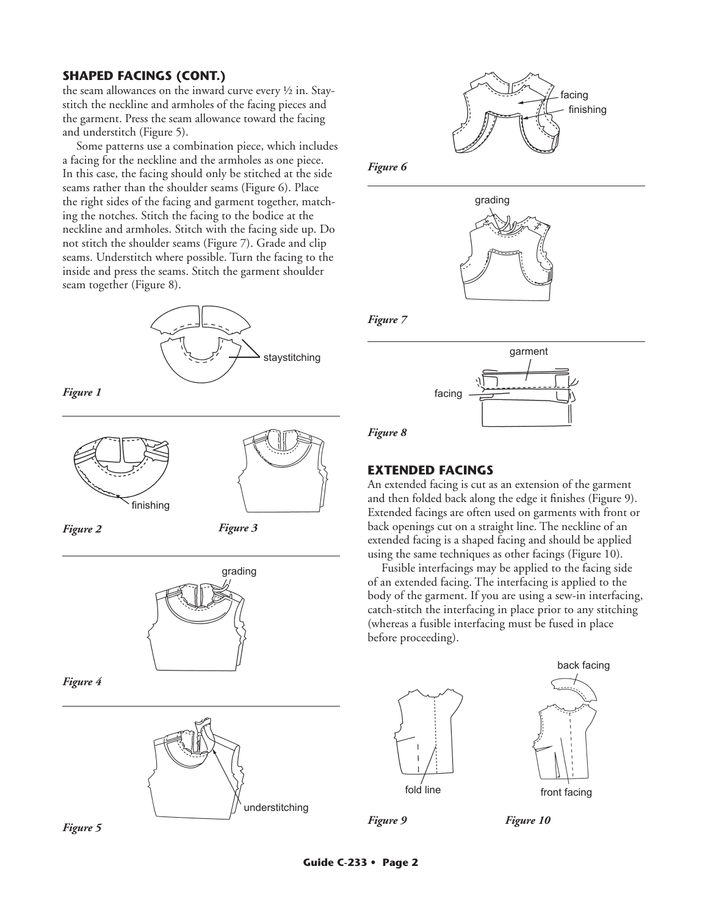### **SHAPED FACINGS (CONT.)**

the seam allowances on the inward curve every ½ in. Staystitch the neckline and armholes of the facing pieces and the garment. Press the seam allowance toward the facing and understitch (Figure 5).

Some patterns use a combination piece, which includes a facing for the neckline and the armholes as one piece. In this case, the facing should only be stitched at the side seams rather than the shoulder seams (Figure 6). Place the right sides of the facing and garment together, matching the notches. Stitch the facing to the bodice at the neckline and armholes. Stitch with the facing side up. Do not stitch the shoulder seams (Figure 7). Grade and clip seams. Understitch where possible. Turn the facing to the inside and press the seams. Stitch the garment shoulder seam together (Figure 8).



*Figure 1*





*Figure 3*







*Figure 6*



*Figure 7*



*Figure 8*

### **EXTENDED FACINGS**

An extended facing is cut as an extension of the garment and then folded back along the edge it finishes (Figure 9). Extended facings are often used on garments with front or back openings cut on a straight line. The neckline of an extended facing is a shaped facing and should be applied using the same techniques as other facings (Figure 10).

Fusible interfacings may be applied to the facing side of an extended facing. The interfacing is applied to the body of the garment. If you are using a sew-in interfacing, catch-stitch the interfacing in place prior to any stitching (whereas a fusible interfacing must be fused in place before proceeding).





*Figure 9*

*Figure 10*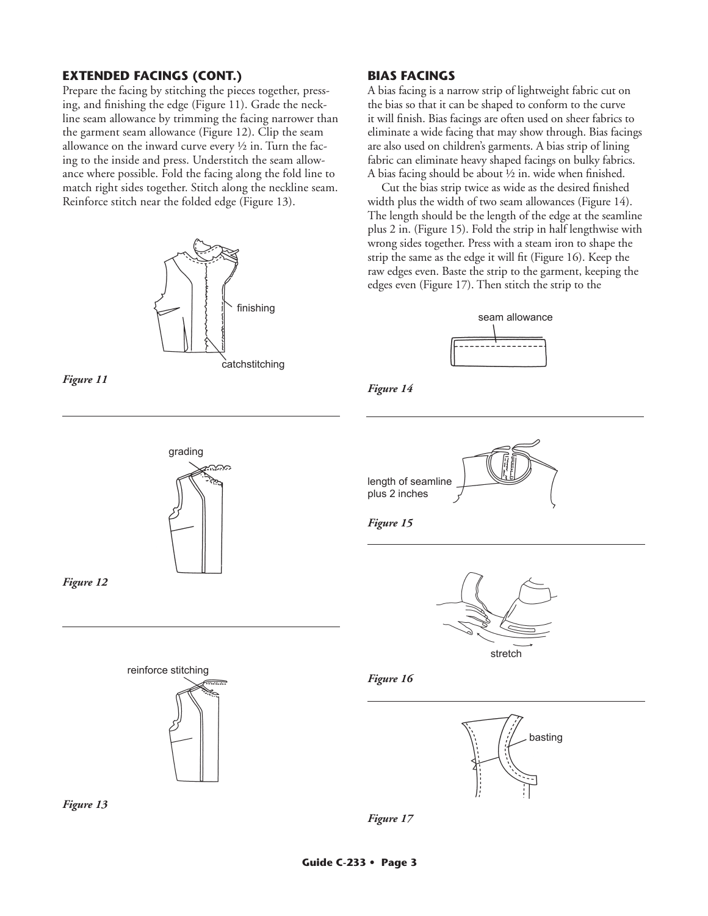### **EXTENDED FACINGS (CONT.)**

Prepare the facing by stitching the pieces together, pressing, and finishing the edge (Figure 11). Grade the neckline seam allowance by trimming the facing narrower than the garment seam allowance (Figure 12). Clip the seam allowance on the inward curve every  $\frac{1}{2}$  in. Turn the facing to the inside and press. Understitch the seam allowance where possible. Fold the facing along the fold line to match right sides together. Stitch along the neckline seam. Reinforce stitch near the folded edge (Figure 13).





# grading ಮಾ

*Figure 12*





*Figure 13*

### **BIAS FACINGS**

A bias facing is a narrow strip of lightweight fabric cut on the bias so that it can be shaped to conform to the curve it will finish. Bias facings are often used on sheer fabrics to eliminate a wide facing that may show through. Bias facings are also used on children's garments. A bias strip of lining fabric can eliminate heavy shaped facings on bulky fabrics. A bias facing should be about ½ in. wide when finished.

Cut the bias strip twice as wide as the desired finished width plus the width of two seam allowances (Figure 14). The length should be the length of the edge at the seamline plus 2 in. (Figure 15). Fold the strip in half lengthwise with wrong sides together. Press with a steam iron to shape the strip the same as the edge it will fit (Figure 16). Keep the raw edges even. Baste the strip to the garment, keeping the edges even (Figure 17). Then stitch the strip to the